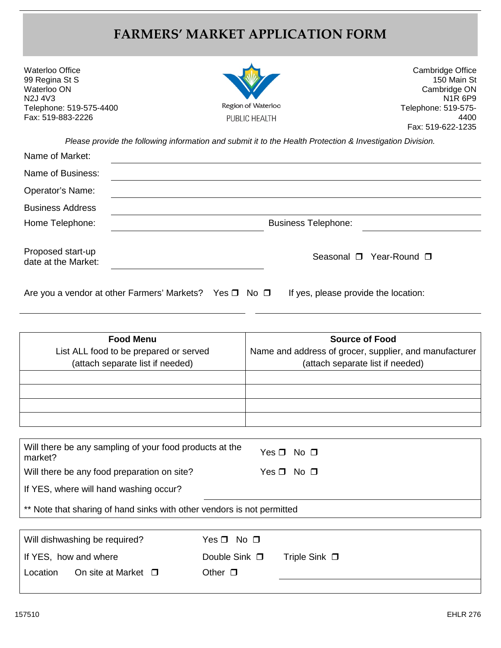## **FARMERS' MARKET APPLICATION FORM**

| Waterloo Office<br>99 Regina St S |
|-----------------------------------|
| Waterloo ON                       |
| N2J 4V3                           |
| Telephone: 519-575-4400           |
| Fax: 519-883-2226                 |



Cambridge Office 150 Main St Cambridge ON N1R 6P9 Telephone: 519-575- 4400 Fax: 519-622-1235

*Please provide the following information and submit it to the Health Protection & Investigation Division.*

| Name of Market:                          |                                                                                                          |  |
|------------------------------------------|----------------------------------------------------------------------------------------------------------|--|
| Name of Business:                        |                                                                                                          |  |
| Operator's Name:                         |                                                                                                          |  |
| <b>Business Address</b>                  |                                                                                                          |  |
| Home Telephone:                          | <b>Business Telephone:</b>                                                                               |  |
| Proposed start-up<br>date at the Market: | Seasonal □ Year-Round □                                                                                  |  |
|                                          | Are you a vendor at other Farmers' Markets? Yes $\Box$ No $\Box$<br>If yes, please provide the location: |  |

| Are you a vendor at other Farmers' Markets? Yes $\Box$ No $\Box$<br>If yes |
|----------------------------------------------------------------------------|
|----------------------------------------------------------------------------|

| <b>Food Menu</b><br>List ALL food to be prepared or served<br>(attach separate list if needed) | <b>Source of Food</b><br>Name and address of grocer, supplier, and manufacturer<br>(attach separate list if needed) |
|------------------------------------------------------------------------------------------------|---------------------------------------------------------------------------------------------------------------------|
|                                                                                                |                                                                                                                     |
|                                                                                                |                                                                                                                     |
|                                                                                                |                                                                                                                     |
|                                                                                                |                                                                                                                     |

| Will there be any sampling of your food products at the<br>market?     | Yes □ No □         |  |  |
|------------------------------------------------------------------------|--------------------|--|--|
| Will there be any food preparation on site?                            | $Yes \Box No \Box$ |  |  |
| If YES, where will hand washing occur?                                 |                    |  |  |
| ** Note that sharing of hand sinks with other vendors is not permitted |                    |  |  |

|          | Will dishwashing be required? | Yes □ No □            |                    |
|----------|-------------------------------|-----------------------|--------------------|
|          | If YES, how and where         | Double Sink $\square$ | Triple Sink $\Box$ |
| Location | On site at Market $\Box$      | Other $\square$       |                    |
|          |                               |                       |                    |